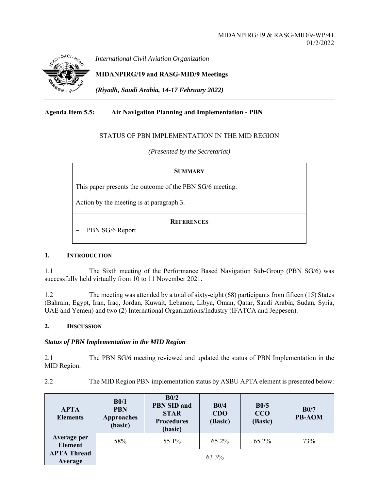

*International Civil Aviation Organization*

**MIDANPIRG/19 and RASG-MID/9 Meetings** 

*(Riyadh, Saudi Arabia, 14-17 February 2022)* 

# **Agenda Item 5.5: Air Navigation Planning and Implementation - PBN**

## STATUS OF PBN IMPLEMENTATION IN THE MID REGION

*(Presented by the Secretariat)* 

| <b>SUMMARY</b>                                           |  |  |  |  |
|----------------------------------------------------------|--|--|--|--|
| This paper presents the outcome of the PBN SG/6 meeting. |  |  |  |  |
| Action by the meeting is at paragraph 3.                 |  |  |  |  |
| <b>REFERENCES</b><br>PBN SG/6 Report                     |  |  |  |  |

## **1. INTRODUCTION**

1.1 The Sixth meeting of the Performance Based Navigation Sub-Group (PBN SG/6) was successfully held virtually from 10 to 11 November 2021.

1.2 The meeting was attended by a total of sixty-eight (68) participants from fifteen (15) States (Bahrain, Egypt, Iran, Iraq, Jordan, Kuwait, Lebanon, Libya, Oman, Qatar, Saudi Arabia, Sudan, Syria, UAE and Yemen) and two (2) International Organizations/Industry (IFATCA and Jeppesen).

## **2. DISCUSSION**

## *Status of PBN Implementation in the MID Region*

2.1 The PBN SG/6 meeting reviewed and updated the status of PBN Implementation in the MID Region.

2.2 The MID Region PBN implementation status by ASBU APTA element is presented below:

| <b>APTA</b><br><b>Elements</b>       | B0/1<br><b>PBN</b><br><b>Approaches</b><br>(basic) | B <sub>0</sub> /2<br><b>PBN SID and</b><br><b>STAR</b><br><b>Procedures</b><br>(basic) | B0/4<br>CDO<br>(Basic) | B0/5<br>CCO<br>(Basic) | B0/7<br><b>PB-AOM</b> |
|--------------------------------------|----------------------------------------------------|----------------------------------------------------------------------------------------|------------------------|------------------------|-----------------------|
| <b>Average per</b><br><b>Element</b> | 58%                                                | 55.1%                                                                                  | 65.2%                  | 65.2%                  | 73%                   |
| <b>APTA Thread</b><br>Average        |                                                    |                                                                                        | 63.3%                  |                        |                       |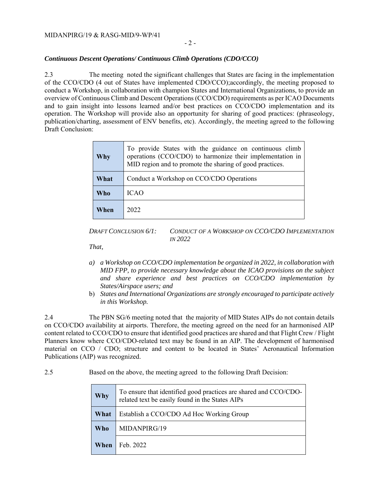### MIDANPIRG/19 & RASG-MID/9-WP/41

### *Continuous Descent Operations/ Continuous Climb Operations (CDO/CCO)*

2.3 The meeting noted the significant challenges that States are facing in the implementation of the CCO/CDO (4 out of States have implemented CDO/CCO);accordingly, the meeting proposed to conduct a Workshop, in collaboration with champion States and International Organizations, to provide an overview of Continuous Climb and Descent Operations (CCO/CDO) requirements as per ICAO Documents and to gain insight into lessons learned and/or best practices on CCO/CDO implementation and its operation. The Workshop will provide also an opportunity for sharing of good practices: (phraseology, publication/charting, assessment of ENV benefits, etc). Accordingly, the meeting agreed to the following Draft Conclusion:

| Why  | To provide States with the guidance on continuous climb<br>operations (CCO/CDO) to harmonize their implementation in<br>MID region and to promote the sharing of good practices. |
|------|----------------------------------------------------------------------------------------------------------------------------------------------------------------------------------|
| What | Conduct a Workshop on CCO/CDO Operations                                                                                                                                         |
| Who  | <b>ICAO</b>                                                                                                                                                                      |
| When | 2022                                                                                                                                                                             |

*DRAFT CONCLUSION 6/1: CONDUCT OF A WORKSHOP ON CCO/CDO IMPLEMENTATION IN 2022* 

*That,* 

- *a) a Workshop on CCO/CDO implementation be organized in 2022, in collaboration with MID FPP, to provide necessary knowledge about the ICAO provisions on the subject and share experience and best practices on CCO/CDO implementation by States/Airspace users; and*
- b) *States and International Organizations are strongly encouraged to participate actively in this Workshop.*

2.4 The PBN SG/6 meeting noted that the majority of MID States AIPs do not contain details on CCO/CDO availability at airports. Therefore, the meeting agreed on the need for an harmonised AIP content related to CCO/CDO to ensure that identified good practices are shared and that Flight Crew / Flight Planners know where CCO/CDO-related text may be found in an AIP. The development of harmonised material on CCO / CDO; structure and content to be located in States' Aeronautical Information Publications (AIP) was recognized.

2.5 Based on the above, the meeting agreed to the following Draft Decision:

| <b>Why</b> | To ensure that identified good practices are shared and CCO/CDO-<br>related text be easily found in the States AIPs |  |  |  |
|------------|---------------------------------------------------------------------------------------------------------------------|--|--|--|
| What       | Establish a CCO/CDO Ad Hoc Working Group                                                                            |  |  |  |
| Who        | MIDANPIRG/19                                                                                                        |  |  |  |
| When       | Feb. 2022                                                                                                           |  |  |  |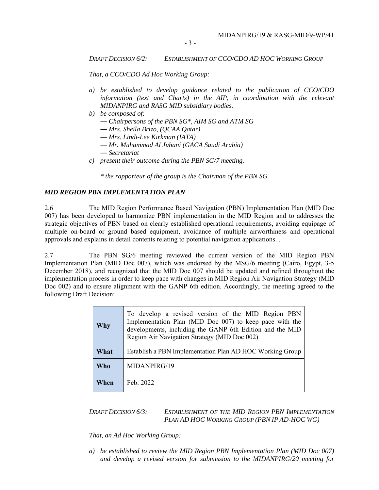- 3 -

#### *DRAFT DECISION 6/2: ESTABLISHMENT OF CCO/CDO AD HOC WORKING GROUP*

*That, a CCO/CDO Ad Hoc Working Group:* 

- *a) be established to develop guidance related to the publication of CCO/CDO information (text and Charts) in the AIP, in coordination with the relevant MIDANPIRG and RASG MID subsidiary bodies.*
- *b) be composed of:*
	- ― *Chairpersons of the PBN SG\*, AIM SG and ATM SG*
	- ― *Mrs. Sheila Brizo, (QCAA Qatar)*
	- ― *Mrs*. *Lindi-Lee Kirkman (IATA)*
	- ― *Mr. Muhammad Al Juhani (GACA Saudi Arabia)*
	- ― *Secretariat*
- *c) present their outcome during the PBN SG/7 meeting.*

*\* the rapporteur of the group is the Chairman of the PBN SG.*

## *MID REGION PBN IMPLEMENTATION PLAN*

2.6 The MID Region Performance Based Navigation (PBN) Implementation Plan (MID Doc 007) has been developed to harmonize PBN implementation in the MID Region and to addresses the strategic objectives of PBN based on clearly established operational requirements, avoiding equipage of multiple on-board or ground based equipment, avoidance of multiple airworthiness and operational approvals and explains in detail contents relating to potential navigation applications. .

2.7 The PBN SG/6 meeting reviewed the current version of the MID Region PBN Implementation Plan (MID Doc 007), which was endorsed by the MSG/6 meeting (Cairo, Egypt, 3-5 December 2018), and recognized that the MID Doc 007 should be updated and refined throughout the implementation process in order to keep pace with changes in MID Region Air Navigation Strategy (MID Doc 002) and to ensure alignment with the GANP 6th edition. Accordingly, the meeting agreed to the following Draft Decision:

| Why  | To develop a revised version of the MID Region PBN<br>Implementation Plan (MID Doc 007) to keep pace with the<br>developments, including the GANP 6th Edition and the MID<br>Region Air Navigation Strategy (MID Doc 002) |  |  |  |
|------|---------------------------------------------------------------------------------------------------------------------------------------------------------------------------------------------------------------------------|--|--|--|
| What | Establish a PBN Implementation Plan AD HOC Working Group                                                                                                                                                                  |  |  |  |
| Who  | MIDANPIRG/19                                                                                                                                                                                                              |  |  |  |
| When | Feb. 2022                                                                                                                                                                                                                 |  |  |  |

## *DRAFT DECISION 6/3: ESTABLISHMENT OF THE MID REGION PBN IMPLEMENTATION PLAN AD HOC WORKING GROUP (PBN IP AD-HOC WG)*

*That, an Ad Hoc Working Group:* 

*a) be established to review the MID Region PBN Implementation Plan (MID Doc 007) and develop a revised version for submission to the MIDANPIRG/20 meeting for*